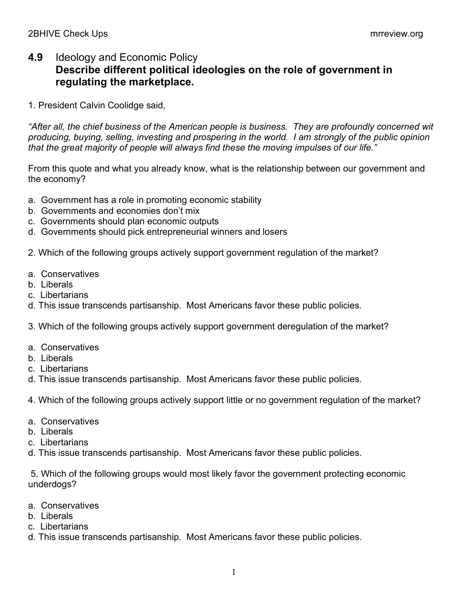## **4.9** Ideology and Economic Policy **Describe different political ideologies on the role of government in regulating the marketplace.**

1. President Calvin Coolidge said,

*"After all, the chief business of the American people is business. They are profoundly concerned wit producing, buying, selling, investing and prospering in the world. I am strongly of the public opinion that the great majority of people will always find these the moving impulses of our life."*

From this quote and what you already know, what is the relationship between our government and the economy?

- a. Government has a role in promoting economic stability
- b. Governments and economies don't mix
- c. Governments should plan economic outputs
- d. Governments should pick entrepreneurial winners and losers
- 2. Which of the following groups actively support government regulation of the market?
- a. Conservatives
- b. Liberals
- c. Libertarians
- d. This issue transcends partisanship. Most Americans favor these public policies.
- 3. Which of the following groups actively support government deregulation of the market?
- a. Conservatives
- b. Liberals
- c. Libertarians
- d. This issue transcends partisanship. Most Americans favor these public policies.

4. Which of the following groups actively support little or no government regulation of the market?

- a. Conservatives
- b. Liberals
- c. Libertarians
- d. This issue transcends partisanship. Most Americans favor these public policies.

5. Which of the following groups would most likely favor the government protecting economic underdogs?

- a. Conservatives
- b. Liberals
- c. Libertarians
- d. This issue transcends partisanship. Most Americans favor these public policies.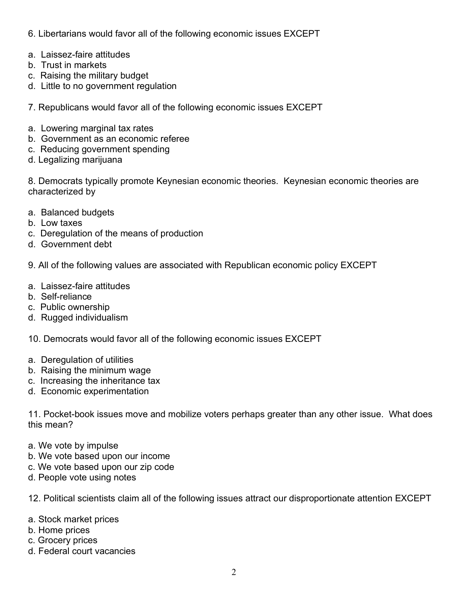6. Libertarians would favor all of the following economic issues EXCEPT

- a. Laissez-faire attitudes
- b. Trust in markets
- c. Raising the military budget
- d. Little to no government regulation
- 7. Republicans would favor all of the following economic issues EXCEPT
- a. Lowering marginal tax rates
- b. Government as an economic referee
- c. Reducing government spending
- d. Legalizing marijuana

8. Democrats typically promote Keynesian economic theories. Keynesian economic theories are characterized by

- a. Balanced budgets
- b. Low taxes
- c. Deregulation of the means of production
- d. Government debt
- 9. All of the following values are associated with Republican economic policy EXCEPT
- a. Laissez-faire attitudes
- b. Self-reliance
- c. Public ownership
- d. Rugged individualism

10. Democrats would favor all of the following economic issues EXCEPT

- a. Deregulation of utilities
- b. Raising the minimum wage
- c. Increasing the inheritance tax
- d. Economic experimentation

11. Pocket-book issues move and mobilize voters perhaps greater than any other issue. What does this mean?

- a. We vote by impulse
- b. We vote based upon our income
- c. We vote based upon our zip code
- d. People vote using notes

12. Political scientists claim all of the following issues attract our disproportionate attention EXCEPT

- a. Stock market prices
- b. Home prices
- c. Grocery prices
- d. Federal court vacancies